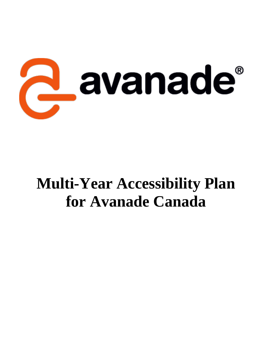

# **Multi-Year Accessibility Plan for Avanade Canada**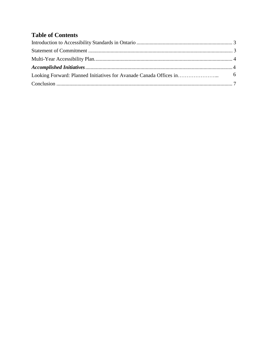## **Table of Contents**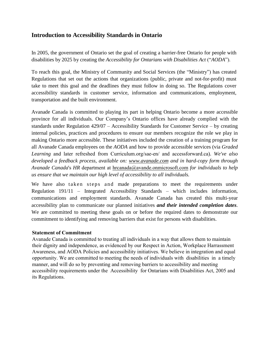#### <span id="page-2-0"></span>**Introduction to Accessibility Standards in Ontario**

In 2005, the government of Ontario set the goal of creating a barrier-free Ontario for people with disabilities by 2025 by creating the *Accessibility for Ontarians with Disabilities Act* ("*AODA*").

To reach this goal, the Ministry of Community and Social Services (the "Ministry") has created Regulations that set out the actions that organizations (public, private and not-for-profit) must take to meet this goal and the deadlines they must follow in doing so. The Regulations cover accessibility standards in customer service, information and communications, employment, transportation and the built environment.

Avanade Canada is committed to playing its part in helping Ontario become a more accessible province for all individuals. Our Company's Ontario offices have already complied with the standards under Regulation 429/07 – Accessibility Standards for Customer Service – by creating internal policies, practices and procedures to ensure our members recognize the role we play in making Ontario more accessible. These initiatives included the creation of a training program for all Avanade Canada employees on the *AODA* and how to provide accessible services (via *Graded Learning* and later refreshed from Curriculum.org/sae-en/ and accessforward.ca). *We've also developed a feedback process, available on: www.avanade.com and in hard-copy form through Avanade Canada*'s *HR* department at hrcanada@avande.onmicrosoft.com *for individuals to help us ensure that we maintain our high level of accessibility to all individuals.*

We have also taken steps and made preparations to meet the requirements under Regulation 191/11 – Integrated Accessibility Standards – which includes information, communications and employment standards. Avanade Canada has created this multi-year accessibility plan to communicate our planned initiatives *and their intended completion dates*. We are committed to meeting these goals on or before the required dates to demonstrate our commitment to identifying and removing barriers that exist for persons with disabilities.

#### **Statement of Commitment**

Avanade Canada is committed to treating all individuals in a way that allows them to maintain their dignity and independence, as evidenced by our Respect in Action, Workplace Harrassment Awareness, and AODA Policies and accessibility initiatives. We believe in integration and equal opportunity. We are committed to meeting the needs of individuals with disabilities in a timely manner, and will do so by preventing and removing barriers to accessibility and meeting accessibility requirements under the Accessibility for Ontarians with Disabilities Act, 2005 and its Regulations.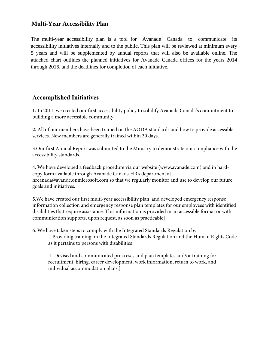#### **Multi-Year Accessibility Plan**

<span id="page-3-0"></span>The multi-year accessibility plan is a tool for Avanade Canada to communicate its accessibility initiatives internally and to the public. This plan will be reviewed at minimum every 5 years and will be supplemented by annual reports that will also be available online**.** The attached chart outlines the planned initiatives for Avanade Canada offices for the years 2014 through 2016, and the deadlines for completion of each initiative.

### <span id="page-3-1"></span>**Accomplished Initiatives**

**1.** In 2011, we created our first accessibility policy to solidify Avanade Canada's commitment to building a more accessible community.

**2.** All of our members have been trained on the AODA standards and how to provide accessible services. New members are generally trained within 30 days.

3.Our first Annual Report was submitted to the Ministry to demonstrate our compliance with the accessibility standards.

4. We have developed a feedback procedure via our website (www.avanade.com) and in hardcopy form available through Avanade Canada HR's department at hrcanada@avande.onmicrosoft.com so that we regularly monitor and use to develop our future goals and initiatives.

<span id="page-3-2"></span>5.We have created our first multi-year accessibility plan, and developed emergency response information collection and emergency response plan templates for our employees with identified disabilities that require assistance. This information is provided in an accessible format or with communication supports, upon request, as soon as practicable]

6. We have taken steps to comply with the Integrated Standards Regulation by I. Providing training on the Integrated Standards Regulation and the Human Rights Code as it pertains to persons with disabilities

II. Devised and communicated procceses and plan templates and/or training for recruitment, hiring, career development, work information, return to work, and individual accommodation plans.]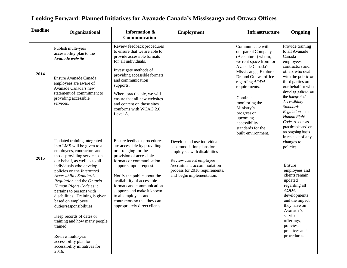<span id="page-4-0"></span>

| <b>Deadline</b> | Organizational                                                                                                                                                                                                                                                                                                                                                                                                                 | Information &<br>Communication                                                                                                                                                                                                                                                                                                                                                       | <b>Employment</b>                                                                                                                                                                                            | <b>Infrastructure</b>                                                                                                                                                                                                | Ongoing                                                                                                                                                                                                                                                                              |
|-----------------|--------------------------------------------------------------------------------------------------------------------------------------------------------------------------------------------------------------------------------------------------------------------------------------------------------------------------------------------------------------------------------------------------------------------------------|--------------------------------------------------------------------------------------------------------------------------------------------------------------------------------------------------------------------------------------------------------------------------------------------------------------------------------------------------------------------------------------|--------------------------------------------------------------------------------------------------------------------------------------------------------------------------------------------------------------|----------------------------------------------------------------------------------------------------------------------------------------------------------------------------------------------------------------------|--------------------------------------------------------------------------------------------------------------------------------------------------------------------------------------------------------------------------------------------------------------------------------------|
|                 | Publish multi-year<br>accessibility plan to the<br>Avanade website                                                                                                                                                                                                                                                                                                                                                             | Review feedback procedures<br>to ensure that we are able to<br>provide accessible formats<br>for all individuals.                                                                                                                                                                                                                                                                    |                                                                                                                                                                                                              | Communicate with<br>our parent Company<br>(Accenture,) whom,<br>we rent space from for<br>Avanade Canada's                                                                                                           | Provide training<br>to all Avanade<br>Canada<br>employees,<br>contractors and                                                                                                                                                                                                        |
| 2014            | Ensure Avanade Canada<br>employees are aware of<br>Avanade Canada's new<br>statement of commitment to<br>providing accessible<br>services.                                                                                                                                                                                                                                                                                     | Investigate methods of<br>providing accessible formats<br>and communication<br>supports.<br>Where practicable, we will<br>ensure that all new websites<br>and content on those sites<br>conforms with WCAG 2.0<br>Level A.                                                                                                                                                           |                                                                                                                                                                                                              | Mississauga, Explorer<br>Dr. and Ottawa office<br>regarding AODA<br>requirements.<br>Continue<br>monitoring the<br>Ministry's<br>progress on<br>upcoming<br>accessibility<br>standards for the<br>built environment. | others who deal<br>with the public or<br>third parties on<br>our behalf or who<br>develop policies on<br>the Integrated<br>Accessibility<br><b>Standards</b><br>Regulation and the<br>Human Rights<br>Code as soon as<br>practicable and on<br>an ongoing basis<br>in respect of any |
| 2015            | Updated training integrated<br>into LMS will be given to all<br>employees, contractors and<br>those providing services on<br>our behalf, as well as to all<br>individuals who develop<br>policies on the Integrated<br><b>Accessibility Standards</b><br>Regulation and the Ontario<br>Human Rights Code as it<br>pertains to persons with<br>disabilities. Training is given<br>based on employee<br>duties/responsibilities. | Ensure feedback procedures<br>are accessible by providing<br>or arranging for the<br>provision of accessible<br>formats or communication<br>supports, upon request.<br>Notify the public about the<br>availability of accessible<br>formats and communication<br>supports and make it known<br>to all employees and<br>contractors so that they can<br>appropriately direct clients. | Develop and use individual<br>accommodation plans for<br>employees with disabilities<br>Review current employee<br>/recruitment accommodation<br>process for 2016 requirements,<br>and begin implementation. |                                                                                                                                                                                                                      | changes to<br>policies.<br>Ensure<br>employees and<br>clients remain<br>updated<br>regarding all<br><b>AODA</b><br>developments<br>and the impact<br>they have on<br>Avanade's                                                                                                       |
|                 | Keep records of dates or<br>training and how many people<br>trained.<br>Review multi-year<br>accessibility plan for<br>accessibility initiatives for<br>2016.                                                                                                                                                                                                                                                                  |                                                                                                                                                                                                                                                                                                                                                                                      |                                                                                                                                                                                                              |                                                                                                                                                                                                                      | service<br>offerings,<br>policies,<br>practices and<br>procedures.                                                                                                                                                                                                                   |

# **Looking Forward: Planned Initiatives for Avanade Canada's Mississauga and Ottawa Offices**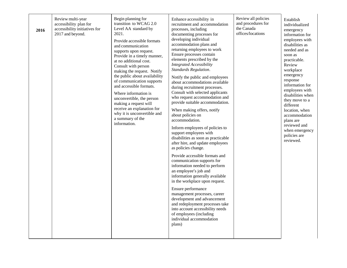| 2016 | Review multi-year<br>accessibility plan for<br>accessibility initiatives for<br>2017 and beyond. | Begin planning for<br>transition to WCAG 2.0<br>Level AA standard by<br>2021.<br>Provide accessible formats<br>and communication<br>supports upon request.<br>Provide in a timely manner,<br>at no additional cost.<br>Consult with person<br>making the request. Notify<br>the public about availability<br>of communication supports<br>and accessible formats.<br>Where information is<br>unconvertible, the person<br>making a request will<br>receive an explanation for<br>why it is unconvertible and<br>a summary of the<br>information. | Enhance accessibility in<br>recruitment and accommodation<br>processes, including<br>documenting processes for<br>developing individual<br>accommodation plans and<br>returning employees to work<br>Ensure processes contain<br>elements prescribed by the<br><b>Integrated Accessibility</b><br>Standards Regulation.<br>Notify the public and employees<br>about accommodations available<br>during recruitment processes.<br>Consult with selected applicants<br>who request accommodation and<br>provide suitable accommodation.<br>When making offers, notify<br>about policies on<br>accommodation.<br>Inform employees of policies to<br>support employees with<br>disabilities as soon as practicable<br>after hire, and update employees<br>as policies change.<br>Provide accessible formats and<br>communication supports for<br>information needed to perform<br>an employee's job and<br>information generally available<br>in the workplace upon request.<br>Ensure performance<br>management processes, career<br>development and advancement<br>and redeployment processes take<br>into account accessibility needs<br>of employees (including<br>individual accommodation<br>plans) | Review all policies<br>and procedures for<br>the Canada<br>offices/locations | Establish<br>individualized<br>emergency<br>information for<br>employees with<br>disabilities as<br>needed and as<br>soon as<br>practicable.<br>Review<br>workplace<br>emergency<br>response<br>information for<br>employees with<br>disabilities when<br>they move to a<br>different<br>location, when<br>accommodation<br>plans are<br>reviewed and<br>when emergency<br>policies are<br>reviewed. |
|------|--------------------------------------------------------------------------------------------------|--------------------------------------------------------------------------------------------------------------------------------------------------------------------------------------------------------------------------------------------------------------------------------------------------------------------------------------------------------------------------------------------------------------------------------------------------------------------------------------------------------------------------------------------------|-------------------------------------------------------------------------------------------------------------------------------------------------------------------------------------------------------------------------------------------------------------------------------------------------------------------------------------------------------------------------------------------------------------------------------------------------------------------------------------------------------------------------------------------------------------------------------------------------------------------------------------------------------------------------------------------------------------------------------------------------------------------------------------------------------------------------------------------------------------------------------------------------------------------------------------------------------------------------------------------------------------------------------------------------------------------------------------------------------------------------------------------------------------------------------------------------------|------------------------------------------------------------------------------|------------------------------------------------------------------------------------------------------------------------------------------------------------------------------------------------------------------------------------------------------------------------------------------------------------------------------------------------------------------------------------------------------|
|------|--------------------------------------------------------------------------------------------------|--------------------------------------------------------------------------------------------------------------------------------------------------------------------------------------------------------------------------------------------------------------------------------------------------------------------------------------------------------------------------------------------------------------------------------------------------------------------------------------------------------------------------------------------------|-------------------------------------------------------------------------------------------------------------------------------------------------------------------------------------------------------------------------------------------------------------------------------------------------------------------------------------------------------------------------------------------------------------------------------------------------------------------------------------------------------------------------------------------------------------------------------------------------------------------------------------------------------------------------------------------------------------------------------------------------------------------------------------------------------------------------------------------------------------------------------------------------------------------------------------------------------------------------------------------------------------------------------------------------------------------------------------------------------------------------------------------------------------------------------------------------------|------------------------------------------------------------------------------|------------------------------------------------------------------------------------------------------------------------------------------------------------------------------------------------------------------------------------------------------------------------------------------------------------------------------------------------------------------------------------------------------|